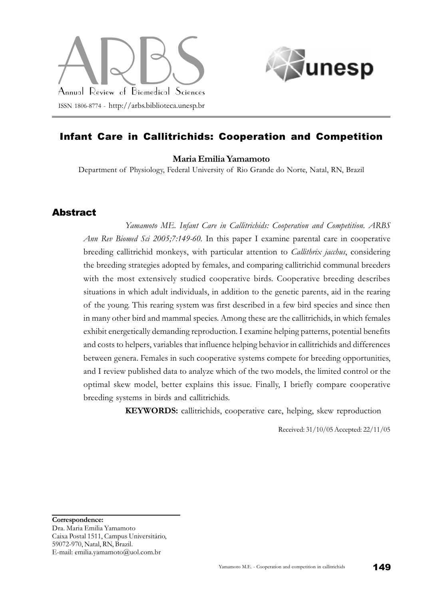



# Infant Care in Callitrichids: Cooperation and Competition

#### Maria Emilia Yamamoto

Department of Physiology, Federal University of Rio Grande do Norte, Natal, RN, Brazil

### Abstract

Yamamoto ME. Infant Care in Callitrichids: Cooperation and Competition. ARBS Ann Rev Biomed Sci 2005;7:149-60. In this paper I examine parental care in cooperative breeding callitrichid monkeys, with particular attention to *Callithrix jacchus*, considering the breeding strategies adopted by females, and comparing callitrichid communal breeders with the most extensively studied cooperative birds. Cooperative breeding describes situations in which adult individuals, in addition to the genetic parents, aid in the rearing of the young. This rearing system was first described in a few bird species and since then in many other bird and mammal species. Among these are the callitrichids, in which females exhibit energetically demanding reproduction. I examine helping patterns, potential benefits and costs to helpers, variables that influence helping behavior in callitrichids and differences between genera. Females in such cooperative systems compete for breeding opportunities, and I review published data to analyze which of the two models, the limited control or the optimal skew model, better explains this issue. Finally, I briefly compare cooperative breeding systems in birds and callitrichids.

KEYWORDS: callitrichids, cooperative care, helping, skew reproduction

Received: 31/10/05 Accepted: 22/11/05

Correspondence:

Dra. Maria Emilia Yamamoto Caixa Postal 1511, Campus Universitário, 59072-970, Natal, RN, Brazil. E-mail: emilia.yamamoto@uol.com.br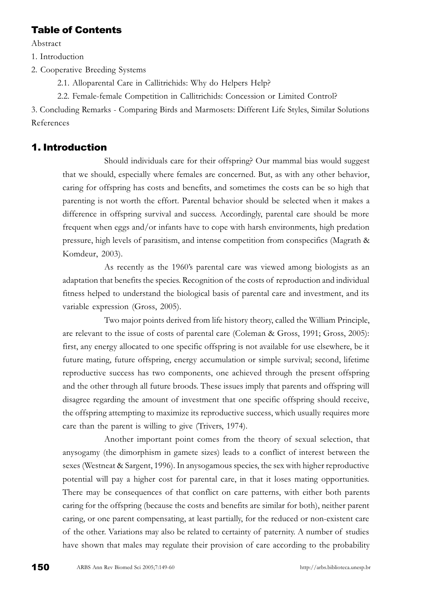## Table of Contents

Abstract

1. Introduction

2. Cooperative Breeding Systems

2.1. Alloparental Care in Callitrichids: Why do Helpers Help?

2.2. Female-female Competition in Callitrichids: Concession or Limited Control?

3. Concluding Remarks - Comparing Birds and Marmosets: Different Life Styles, Similar Solutions References

# 1. Introduction

Should individuals care for their offspring? Our mammal bias would suggest that we should, especially where females are concerned. But, as with any other behavior, caring for offspring has costs and benefits, and sometimes the costs can be so high that parenting is not worth the effort. Parental behavior should be selected when it makes a difference in offspring survival and success. Accordingly, parental care should be more frequent when eggs and/or infants have to cope with harsh environments, high predation pressure, high levels of parasitism, and intense competition from conspecifics (Magrath & Komdeur, 2003).

As recently as the 1960's parental care was viewed among biologists as an adaptation that benefits the species. Recognition of the costs of reproduction and individual fitness helped to understand the biological basis of parental care and investment, and its variable expression (Gross, 2005).

Two major points derived from life history theory, called the William Principle, are relevant to the issue of costs of parental care (Coleman & Gross, 1991; Gross, 2005): first, any energy allocated to one specific offspring is not available for use elsewhere, be it future mating, future offspring, energy accumulation or simple survival; second, lifetime reproductive success has two components, one achieved through the present offspring and the other through all future broods. These issues imply that parents and offspring will disagree regarding the amount of investment that one specific offspring should receive, the offspring attempting to maximize its reproductive success, which usually requires more care than the parent is willing to give (Trivers, 1974).

Another important point comes from the theory of sexual selection, that anysogamy (the dimorphism in gamete sizes) leads to a conflict of interest between the sexes (Westneat & Sargent, 1996). In anysogamous species, the sex with higher reproductive potential will pay a higher cost for parental care, in that it loses mating opportunities. There may be consequences of that conflict on care patterns, with either both parents caring for the offspring (because the costs and benefits are similar for both), neither parent caring, or one parent compensating, at least partially, for the reduced or non-existent care of the other. Variations may also be related to certainty of paternity. A number of studies have shown that males may regulate their provision of care according to the probability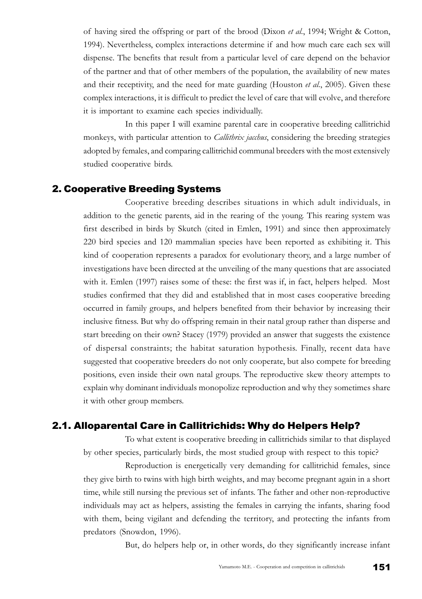of having sired the offspring or part of the brood (Dixon et al., 1994; Wright & Cotton, 1994). Nevertheless, complex interactions determine if and how much care each sex will dispense. The benefits that result from a particular level of care depend on the behavior of the partner and that of other members of the population, the availability of new mates and their receptivity, and the need for mate guarding (Houston  $et$   $al$ , 2005). Given these complex interactions, it is difficult to predict the level of care that will evolve, and therefore it is important to examine each species individually.

In this paper I will examine parental care in cooperative breeding callitrichid monkeys, with particular attention to *Callithrix jacchus*, considering the breeding strategies adopted by females, and comparing callitrichid communal breeders with the most extensively studied cooperative birds.

### 2. Cooperative Breeding Systems

Cooperative breeding describes situations in which adult individuals, in addition to the genetic parents, aid in the rearing of the young. This rearing system was first described in birds by Skutch (cited in Emlen, 1991) and since then approximately 220 bird species and 120 mammalian species have been reported as exhibiting it. This kind of cooperation represents a paradox for evolutionary theory, and a large number of investigations have been directed at the unveiling of the many questions that are associated with it. Emlen (1997) raises some of these: the first was if, in fact, helpers helped. Most studies confirmed that they did and established that in most cases cooperative breeding occurred in family groups, and helpers benefited from their behavior by increasing their inclusive fitness. But why do offspring remain in their natal group rather than disperse and start breeding on their own? Stacey (1979) provided an answer that suggests the existence of dispersal constraints; the habitat saturation hypothesis. Finally, recent data have suggested that cooperative breeders do not only cooperate, but also compete for breeding positions, even inside their own natal groups. The reproductive skew theory attempts to explain why dominant individuals monopolize reproduction and why they sometimes share it with other group members.

### 2.1. Alloparental Care in Callitrichids: Why do Helpers Help?

To what extent is cooperative breeding in callitrichids similar to that displayed by other species, particularly birds, the most studied group with respect to this topic?

Reproduction is energetically very demanding for callitrichid females, since they give birth to twins with high birth weights, and may become pregnant again in a short time, while still nursing the previous set of infants. The father and other non-reproductive individuals may act as helpers, assisting the females in carrying the infants, sharing food with them, being vigilant and defending the territory, and protecting the infants from predators (Snowdon, 1996).

But, do helpers help or, in other words, do they significantly increase infant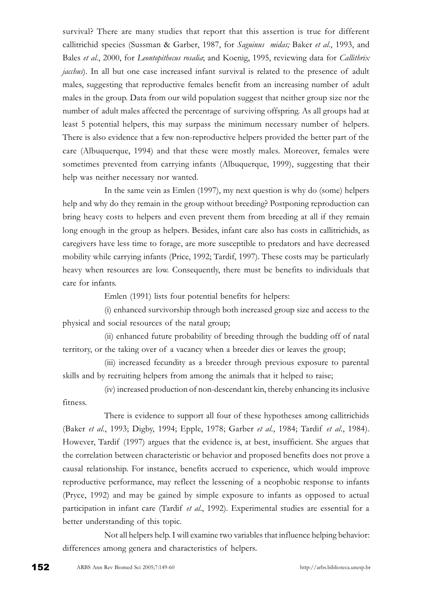survival? There are many studies that report that this assertion is true for different callitrichid species (Sussman & Garber, 1987, for Saguinus midas; Baker et al., 1993, and Bales et al., 2000, for Leontopithecus rosalia; and Koenig, 1995, reviewing data for Callithrix *jacchus*). In all but one case increased infant survival is related to the presence of adult males, suggesting that reproductive females benefit from an increasing number of adult males in the group. Data from our wild population suggest that neither group size nor the number of adult males affected the percentage of surviving offspring. As all groups had at least 5 potential helpers, this may surpass the minimum necessary number of helpers. There is also evidence that a few non-reproductive helpers provided the better part of the care (Albuquerque, 1994) and that these were mostly males. Moreover, females were sometimes prevented from carrying infants (Albuquerque, 1999), suggesting that their help was neither necessary nor wanted.

In the same vein as Emlen (1997), my next question is why do (some) helpers help and why do they remain in the group without breeding? Postponing reproduction can bring heavy costs to helpers and even prevent them from breeding at all if they remain long enough in the group as helpers. Besides, infant care also has costs in callitrichids, as caregivers have less time to forage, are more susceptible to predators and have decreased mobility while carrying infants (Price, 1992; Tardif, 1997). These costs may be particularly heavy when resources are low. Consequently, there must be benefits to individuals that care for infants.

Emlen (1991) lists four potential benefits for helpers:

(i) enhanced survivorship through both increased group size and access to the physical and social resources of the natal group;

(ii) enhanced future probability of breeding through the budding off of natal territory, or the taking over of a vacancy when a breeder dies or leaves the group;

(iii) increased fecundity as a breeder through previous exposure to parental skills and by recruiting helpers from among the animals that it helped to raise;

(iv) increased production of non-descendant kin, thereby enhancing its inclusive fitness.

There is evidence to support all four of these hypotheses among callitrichids (Baker et al., 1993; Digby, 1994; Epple, 1978; Garber et al., 1984; Tardif et al., 1984). However, Tardif (1997) argues that the evidence is, at best, insufficient. She argues that the correlation between characteristic or behavior and proposed benefits does not prove a causal relationship. For instance, benefits accrued to experience, which would improve reproductive performance, may reflect the lessening of a neophobic response to infants (Pryce, 1992) and may be gained by simple exposure to infants as opposed to actual participation in infant care (Tardif et al., 1992). Experimental studies are essential for a better understanding of this topic.

Not all helpers help. I will examine two variables that influence helping behavior: differences among genera and characteristics of helpers.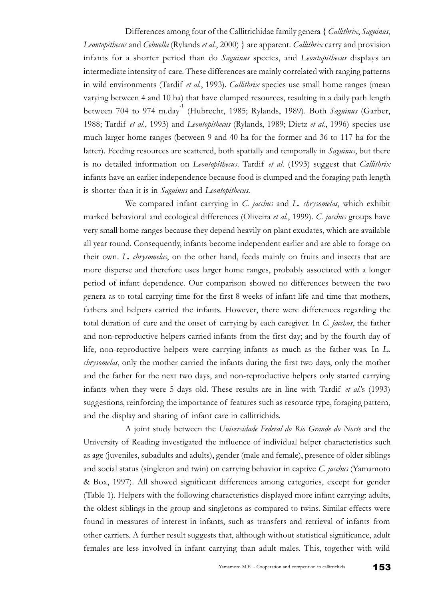Differences among four of the Callitrichidae family genera { Callithrix, Saguinus, Leontopithecus and Cebuella (Rylands et al., 2000) } are apparent. Callithrix carry and provision infants for a shorter period than do Saguinus species, and Leontopithecus displays an intermediate intensity of care. These differences are mainly correlated with ranging patterns in wild environments (Tardif et al., 1993). Callithrix species use small home ranges (mean varying between 4 and 10 ha) that have clumped resources, resulting in a daily path length between 704 to 974 m.day<sup>-1</sup> (Hubrecht, 1985; Rylands, 1989). Both Saguinus (Garber, 1988; Tardif et al., 1993) and Leontopithecus (Rylands, 1989; Dietz et al., 1996) species use much larger home ranges (between 9 and 40 ha for the former and 36 to 117 ha for the latter). Feeding resources are scattered, both spatially and temporally in *Saguinus*, but there is no detailed information on *Leontopithecus*. Tardif et al. (1993) suggest that *Callithrix* infants have an earlier independence because food is clumped and the foraging path length is shorter than it is in Saguinus and Leontopithecus.

We compared infant carrying in C. jacchus and L. chrysomelas, which exhibit marked behavioral and ecological differences (Oliveira et al., 1999). C. jacchus groups have very small home ranges because they depend heavily on plant exudates, which are available all year round. Consequently, infants become independent earlier and are able to forage on their own. L. chrysomelas, on the other hand, feeds mainly on fruits and insects that are more disperse and therefore uses larger home ranges, probably associated with a longer period of infant dependence. Our comparison showed no differences between the two genera as to total carrying time for the first 8 weeks of infant life and time that mothers, fathers and helpers carried the infants. However, there were differences regarding the total duration of care and the onset of carrying by each caregiver. In C. *jacchus*, the father and non-reproductive helpers carried infants from the first day; and by the fourth day of life, non-reproductive helpers were carrying infants as much as the father was. In L. chrysomelas, only the mother carried the infants during the first two days, only the mother and the father for the next two days, and non-reproductive helpers only started carrying infants when they were 5 days old. These results are in line with Tardif  $et al.'s$  (1993) suggestions, reinforcing the importance of features such as resource type, foraging pattern, and the display and sharing of infant care in callitrichids.

A joint study between the Universidade Federal do Rio Grande do Norte and the University of Reading investigated the influence of individual helper characteristics such as age (juveniles, subadults and adults), gender (male and female), presence of older siblings and social status (singleton and twin) on carrying behavior in captive  $C$ . jacchus (Yamamoto & Box, 1997). All showed significant differences among categories, except for gender (Table 1). Helpers with the following characteristics displayed more infant carrying: adults, the oldest siblings in the group and singletons as compared to twins. Similar effects were found in measures of interest in infants, such as transfers and retrieval of infants from other carriers. A further result suggests that, although without statistical significance, adult females are less involved in infant carrying than adult males. This, together with wild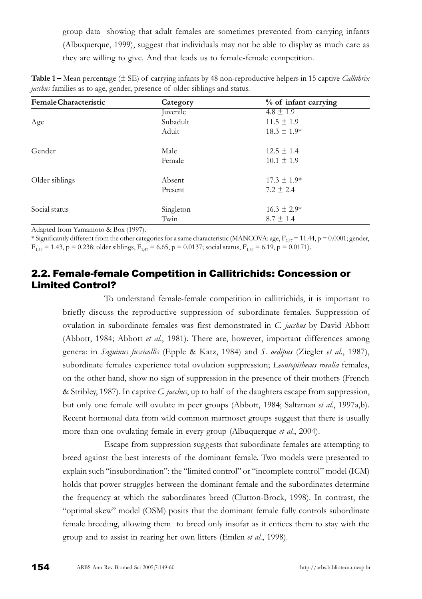group data showing that adult females are sometimes prevented from carrying infants (Albuquerque, 1999), suggest that individuals may not be able to display as much care as they are willing to give. And that leads us to female-female competition.

| Female Characteristic | Category  | % of infant carrying |
|-----------------------|-----------|----------------------|
| Age                   | Juvenile  | $4.8 \pm 1.9$        |
|                       | Subadult  | $11.5 \pm 1.9$       |
|                       | Adult     | $18.3 \pm 1.9*$      |
| Gender                | Male      | $12.5 \pm 1.4$       |
|                       | Female    | $10.1 \pm 1.9$       |
| Older siblings        | Absent    | $17.3 \pm 1.9*$      |
|                       | Present   | $7.2 \pm 2.4$        |
| Social status         | Singleton | $16.3 \pm 2.9*$      |
|                       | Twin      | $8.7 \pm 1.4$        |

**Table 1** – Mean percentage ( $\pm$  SE) of carrying infants by 48 non-reproductive helpers in 15 captive *Callithrix* jacchus families as to age, gender, presence of older siblings and status.

Adapted from Yamamoto & Box (1997).

\* Significantly different from the other categories for a same characteristic (MANCOVA: age,  $F_{247} = 11.44$ , p = 0.0001; gender,  $F_{1,47} = 1.43$ , p = 0.238; older siblings,  $F_{1,47} = 6.65$ , p = 0.0137; social status,  $F_{1,47} = 6.19$ , p = 0.0171).

## 2.2. Female-female Competition in Callitrichids: Concession or Limited Control?

To understand female-female competition in callitrichids, it is important to briefly discuss the reproductive suppression of subordinate females. Suppression of ovulation in subordinate females was first demonstrated in C. jacchus by David Abbott (Abbott, 1984; Abbott *et al.*, 1981). There are, however, important differences among genera: in Saguinus fuscicollis (Epple & Katz, 1984) and S. oedipus (Ziegler et al., 1987), subordinate females experience total ovulation suppression; *Leontopithecus rosalia* females, on the other hand, show no sign of suppression in the presence of their mothers (French & Stribley, 1987). In captive C. *jacchus*, up to half of the daughters escape from suppression, but only one female will ovulate in peer groups (Abbott, 1984; Saltzman et al., 1997a,b). Recent hormonal data from wild common marmoset groups suggest that there is usually more than one ovulating female in every group (Albuquerque et al., 2004).

Escape from suppression suggests that subordinate females are attempting to breed against the best interests of the dominant female. Two models were presented to explain such "insubordination": the "limited control" or "incomplete control" model (ICM) holds that power struggles between the dominant female and the subordinates determine the frequency at which the subordinates breed (Clutton-Brock, 1998). In contrast, the "optimal skew" model (OSM) posits that the dominant female fully controls subordinate female breeding, allowing them to breed only insofar as it entices them to stay with the group and to assist in rearing her own litters (Emlen et al., 1998).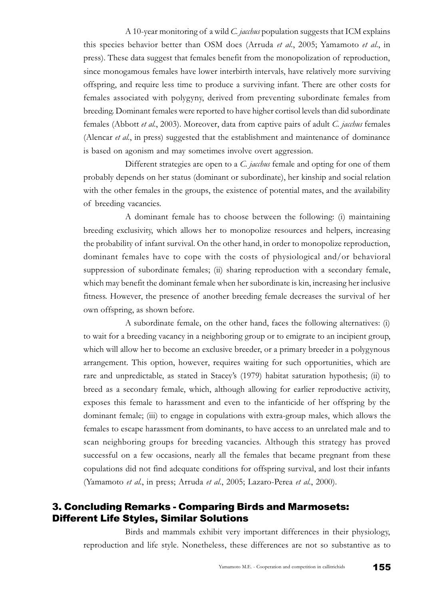A 10-year monitoring of a wild C. jacchus population suggests that ICM explains this species behavior better than OSM does (Arruda et al., 2005; Yamamoto et al., in press). These data suggest that females benefit from the monopolization of reproduction, since monogamous females have lower interbirth intervals, have relatively more surviving offspring, and require less time to produce a surviving infant. There are other costs for females associated with polygyny, derived from preventing subordinate females from breeding. Dominant females were reported to have higher cortisol levels than did subordinate females (Abbott *et al.*, 2003). Moreover, data from captive pairs of adult C. *jachus* females (Alencar et al., in press) suggested that the establishment and maintenance of dominance is based on agonism and may sometimes involve overt aggression.

Different strategies are open to a C. jacchus female and opting for one of them probably depends on her status (dominant or subordinate), her kinship and social relation with the other females in the groups, the existence of potential mates, and the availability of breeding vacancies.

A dominant female has to choose between the following: (i) maintaining breeding exclusivity, which allows her to monopolize resources and helpers, increasing the probability of infant survival. On the other hand, in order to monopolize reproduction, dominant females have to cope with the costs of physiological and/or behavioral suppression of subordinate females; (ii) sharing reproduction with a secondary female, which may benefit the dominant female when her subordinate is kin, increasing her inclusive fitness. However, the presence of another breeding female decreases the survival of her own offspring, as shown before.

A subordinate female, on the other hand, faces the following alternatives: (i) to wait for a breeding vacancy in a neighboring group or to emigrate to an incipient group, which will allow her to become an exclusive breeder, or a primary breeder in a polygynous arrangement. This option, however, requires waiting for such opportunities, which are rare and unpredictable, as stated in Staceys (1979) habitat saturation hypothesis; (ii) to breed as a secondary female, which, although allowing for earlier reproductive activity, exposes this female to harassment and even to the infanticide of her offspring by the dominant female; (iii) to engage in copulations with extra-group males, which allows the females to escape harassment from dominants, to have access to an unrelated male and to scan neighboring groups for breeding vacancies. Although this strategy has proved successful on a few occasions, nearly all the females that became pregnant from these copulations did not find adequate conditions for offspring survival, and lost their infants (Yamamoto et al., in press; Arruda et al., 2005; Lazaro-Perea et al., 2000).

### 3. Concluding Remarks - Comparing Birds and Marmosets: Different Life Styles, Similar Solutions

Birds and mammals exhibit very important differences in their physiology, reproduction and life style. Nonetheless, these differences are not so substantive as to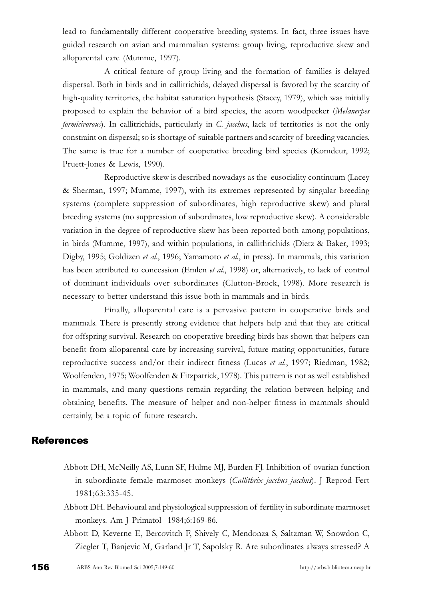lead to fundamentally different cooperative breeding systems. In fact, three issues have guided research on avian and mammalian systems: group living, reproductive skew and alloparental care (Mumme, 1997).

A critical feature of group living and the formation of families is delayed dispersal. Both in birds and in callitrichids, delayed dispersal is favored by the scarcity of high-quality territories, the habitat saturation hypothesis (Stacey, 1979), which was initially proposed to explain the behavior of a bird species, the acorn woodpecker (Melanerpes formicivorous). In callitrichids, particularly in C. jacchus, lack of territories is not the only constraint on dispersal; so is shortage of suitable partners and scarcity of breeding vacancies. The same is true for a number of cooperative breeding bird species (Komdeur, 1992; Pruett-Jones & Lewis, 1990).

Reproductive skew is described nowadays as the eusociality continuum (Lacey & Sherman, 1997; Mumme, 1997), with its extremes represented by singular breeding systems (complete suppression of subordinates, high reproductive skew) and plural breeding systems (no suppression of subordinates, low reproductive skew). A considerable variation in the degree of reproductive skew has been reported both among populations, in birds (Mumme, 1997), and within populations, in callithrichids (Dietz & Baker, 1993; Digby, 1995; Goldizen et al., 1996; Yamamoto et al., in press). In mammals, this variation has been attributed to concession (Emlen *et al.*, 1998) or, alternatively, to lack of control of dominant individuals over subordinates (Clutton-Brock, 1998). More research is necessary to better understand this issue both in mammals and in birds.

Finally, alloparental care is a pervasive pattern in cooperative birds and mammals. There is presently strong evidence that helpers help and that they are critical for offspring survival. Research on cooperative breeding birds has shown that helpers can benefit from alloparental care by increasing survival, future mating opportunities, future reproductive success and/or their indirect fitness (Lucas et al., 1997; Riedman, 1982; Woolfenden, 1975; Woolfenden & Fitzpatrick, 1978). This pattern is not as well established in mammals, and many questions remain regarding the relation between helping and obtaining benefits. The measure of helper and non-helper fitness in mammals should certainly, be a topic of future research.

### **References**

- Abbott DH, McNeilly AS, Lunn SF, Hulme MJ, Burden FJ. Inhibition of ovarian function in subordinate female marmoset monkeys (Callithrix jacchus jacchus). J Reprod Fert 1981;63:335-45.
- Abbott DH. Behavioural and physiological suppression of fertility in subordinate marmoset monkeys. Am J Primatol 1984;6:169-86.
- Abbott D, Keverne E, Bercovitch F, Shively C, Mendonza S, Saltzman W, Snowdon C, Ziegler T, Banjevic M, Garland Jr T, Sapolsky R. Are subordinates always stressed? A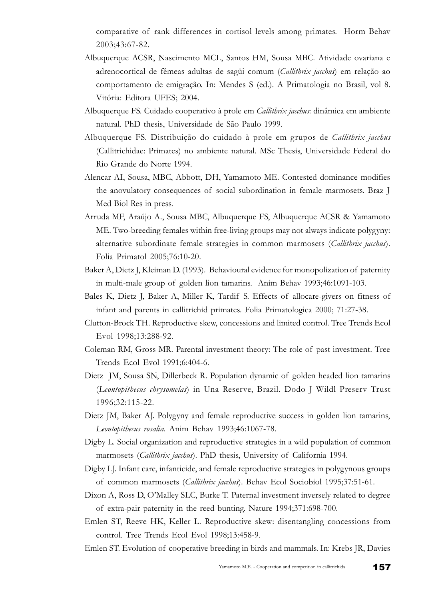comparative of rank differences in cortisol levels among primates. Horm Behav 2003;43:67-82.

- Albuquerque ACSR, Nascimento MCL, Santos HM, Sousa MBC. Atividade ovariana e adrenocortical de fêmeas adultas de sagüi comum (Callithrix jacchus) em relação ao comportamento de emigração. In: Mendes S (ed.). A Primatologia no Brasil, vol 8. Vitória: Editora UFES; 2004.
- Albuquerque FS. Cuidado cooperativo à prole em Callithrix jacchus: dinâmica em ambiente natural. PhD thesis, Universidade de São Paulo 1999.
- Albuquerque FS. Distribuição do cuidado à prole em grupos de Callithrix jacchus (Callitrichidae: Primates) no ambiente natural. MSc Thesis, Universidade Federal do Rio Grande do Norte 1994.
- Alencar AI, Sousa, MBC, Abbott, DH, Yamamoto ME. Contested dominance modifies the anovulatory consequences of social subordination in female marmosets. Braz J Med Biol Res in press.
- Arruda MF, Araújo A., Sousa MBC, Albuquerque FS, Albuquerque ACSR & Yamamoto ME. Two-breeding females within free-living groups may not always indicate polygyny: alternative subordinate female strategies in common marmosets (Callithrix jacchus). Folia Primatol 2005;76:10-20.
- Baker A, Dietz J, Kleiman D. (1993). Behavioural evidence for monopolization of paternity in multi-male group of golden lion tamarins. Anim Behav 1993;46:1091-103.
- Bales K, Dietz J, Baker A, Miller K, Tardif S. Effects of allocare-givers on fitness of infant and parents in callitrichid primates. Folia Primatologica 2000; 71:27-38.
- Clutton-Brock TH. Reproductive skew, concessions and limited control. Tree Trends Ecol Evol 1998;13:288-92.
- Coleman RM, Gross MR. Parental investment theory: The role of past investment. Tree Trends Ecol Evol 1991;6:404-6.
- Dietz JM, Sousa SN, Dillerbeck R. Population dynamic of golden headed lion tamarins (Leontopithecus chrysomelas) in Una Reserve, Brazil. Dodo J Wildl Preserv Trust 1996;32:115-22.
- Dietz JM, Baker AJ. Polygyny and female reproductive success in golden lion tamarins, Leontopithecus rosalia. Anim Behav 1993;46:1067-78.
- Digby L. Social organization and reproductive strategies in a wild population of common marmosets (Callithrix jacchus). PhD thesis, University of California 1994.
- Digby LJ. Infant care, infanticide, and female reproductive strategies in polygynous groups of common marmosets (Callithrix jacchus). Behav Ecol Sociobiol 1995;37:51-61.
- Dixon A, Ross D, O'Malley SLC, Burke T. Paternal investment inversely related to degree of extra-pair paternity in the reed bunting. Nature 1994;371:698-700.
- Emlen ST, Reeve HK, Keller L. Reproductive skew: disentangling concessions from control. Tree Trends Ecol Evol 1998;13:458-9.
- Emlen ST. Evolution of cooperative breeding in birds and mammals. In: Krebs JR, Davies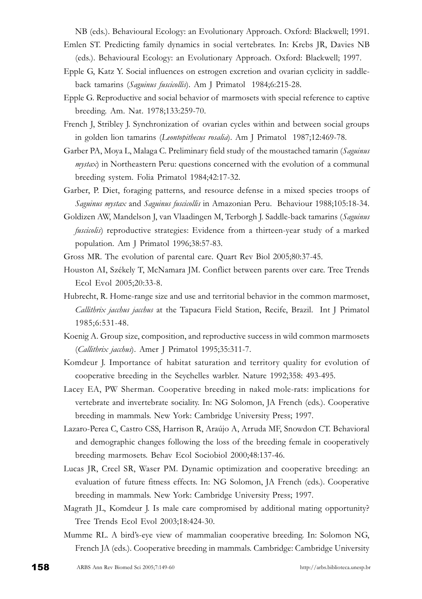NB (eds.). Behavioural Ecology: an Evolutionary Approach. Oxford: Blackwell; 1991.

- Emlen ST. Predicting family dynamics in social vertebrates. In: Krebs JR, Davies NB (eds.). Behavioural Ecology: an Evolutionary Approach. Oxford: Blackwell; 1997.
- Epple G, Katz Y. Social influences on estrogen excretion and ovarian cyclicity in saddleback tamarins (Saguinus fuscicollis). Am J Primatol 1984;6:215-28.
- Epple G. Reproductive and social behavior of marmosets with special reference to captive breeding. Am. Nat. 1978;133:259-70.
- French J, Stribley J. Synchronization of ovarian cycles within and between social groups in golden lion tamarins (Leontopithecus rosalia). Am J Primatol 1987;12:469-78.
- Garber PA, Moya L, Malaga C. Preliminary field study of the moustached tamarin (Saguinus  $mystax$ ) in Northeastern Peru: questions concerned with the evolution of a communal breeding system. Folia Primatol 1984;42:17-32.
- Garber, P. Diet, foraging patterns, and resource defense in a mixed species troops of Saguinus mystax and Saguinus fuscicollis in Amazonian Peru. Behaviour 1988;105:18-34.
- Goldizen AW, Mandelson J, van Vlaadingen M, Terborgh J. Saddle-back tamarins (Saguinus fuscicolis) reproductive strategies: Evidence from a thirteen-year study of a marked population. Am J Primatol 1996;38:57-83.
- Gross MR. The evolution of parental care. Quart Rev Biol 2005;80:37-45.
- Houston AI, Székely T, McNamara JM. Conflict between parents over care. Tree Trends Ecol Evol 2005;20:33-8.
- Hubrecht, R. Home-range size and use and territorial behavior in the common marmoset, Callithrix jacchus jacchus at the Tapacura Field Station, Recife, Brazil. Int J Primatol 1985;6:531-48.
- Koenig A. Group size, composition, and reproductive success in wild common marmosets (Callithrix jacchus). Amer J Primatol 1995;35:311-7.
- Komdeur J. Importance of habitat saturation and territory quality for evolution of cooperative breeding in the Seychelles warbler. Nature 1992;358: 493-495.
- Lacey EA, PW Sherman. Cooperative breeding in naked mole-rats: implications for vertebrate and invertebrate sociality. In: NG Solomon, JA French (eds.). Cooperative breeding in mammals. New York: Cambridge University Press; 1997.
- Lazaro-Perea C, Castro CSS, Harrison R, Araújo A, Arruda MF, Snowdon CT. Behavioral and demographic changes following the loss of the breeding female in cooperatively breeding marmosets. Behav Ecol Sociobiol 2000;48:137-46.
- Lucas JR, Creel SR, Waser PM. Dynamic optimization and cooperative breeding: an evaluation of future fitness effects. In: NG Solomon, JA French (eds.). Cooperative breeding in mammals. New York: Cambridge University Press; 1997.
- Magrath JL, Komdeur J. Is male care compromised by additional mating opportunity? Tree Trends Ecol Evol 2003;18:424-30.
- Mumme RL. A bird's-eye view of mammalian cooperative breeding. In: Solomon NG, French JA (eds.). Cooperative breeding in mammals. Cambridge: Cambridge University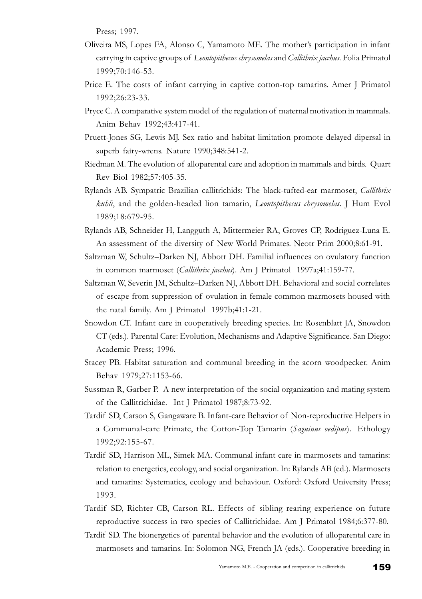Press; 1997.

- Oliveira MS, Lopes FA, Alonso C, Yamamoto ME. The mother's participation in infant carrying in captive groups of Leontopithecus chrysomelas and Callithrix jacchus. Folia Primatol 1999;70:146-53.
- Price E. The costs of infant carrying in captive cotton-top tamarins. Amer J Primatol 1992;26:23-33.
- Pryce C. A comparative system model of the regulation of maternal motivation in mammals. Anim Behav 1992;43:417-41.
- Pruett-Jones SG, Lewis MJ. Sex ratio and habitat limitation promote delayed dipersal in superb fairy-wrens. Nature 1990;348:541-2.
- Riedman M. The evolution of alloparental care and adoption in mammals and birds. Quart Rev Biol 1982;57:405-35.
- Rylands AB. Sympatric Brazilian callitrichids: The black-tufted-ear marmoset, Callithrix kuhli, and the golden-headed lion tamarin, Leontopithecus chrysomelas. J Hum Evol 1989;18:679-95.
- Rylands AB, Schneider H, Langguth A, Mittermeier RA, Groves CP, Rodriguez-Luna E. An assessment of the diversity of New World Primates. Neotr Prim 2000;8:61-91.
- Saltzman W, Schultz-Darken NJ, Abbott DH. Familial influences on ovulatory function in common marmoset (Callithrix jacchus). Am J Primatol 1997a;41:159-77.
- Saltzman W, Severin JM, Schultz-Darken NJ, Abbott DH. Behavioral and social correlates of escape from suppression of ovulation in female common marmosets housed with the natal family. Am J Primatol 1997b;41:1-21.
- Snowdon CT. Infant care in cooperatively breeding species. In: Rosenblatt JA, Snowdon CT (eds.). Parental Care: Evolution, Mechanisms and Adaptive Significance. San Diego: Academic Press; 1996.
- Stacey PB. Habitat saturation and communal breeding in the acorn woodpecker. Anim Behav 1979;27:1153-66.
- Sussman R, Garber P. A new interpretation of the social organization and mating system of the Callitrichidae. Int J Primatol 1987;8:73-92.
- Tardif SD, Carson S, Gangaware B. Infant-care Behavior of Non-reproductive Helpers in a Communal-care Primate, the Cotton-Top Tamarin (Saguinus oedipus). Ethology 1992;92:155-67.
- Tardif SD, Harrison ML, Simek MA. Communal infant care in marmosets and tamarins: relation to energetics, ecology, and social organization. In: Rylands AB (ed.). Marmosets and tamarins: Systematics, ecology and behaviour. Oxford: Oxford University Press; 1993.
- Tardif SD, Richter CB, Carson RL. Effects of sibling rearing experience on future reproductive success in two species of Callitrichidae. Am J Primatol 1984;6:377-80.
- Tardif SD. The bionergetics of parental behavior and the evolution of alloparental care in marmosets and tamarins. In: Solomon NG, French JA (eds.). Cooperative breeding in